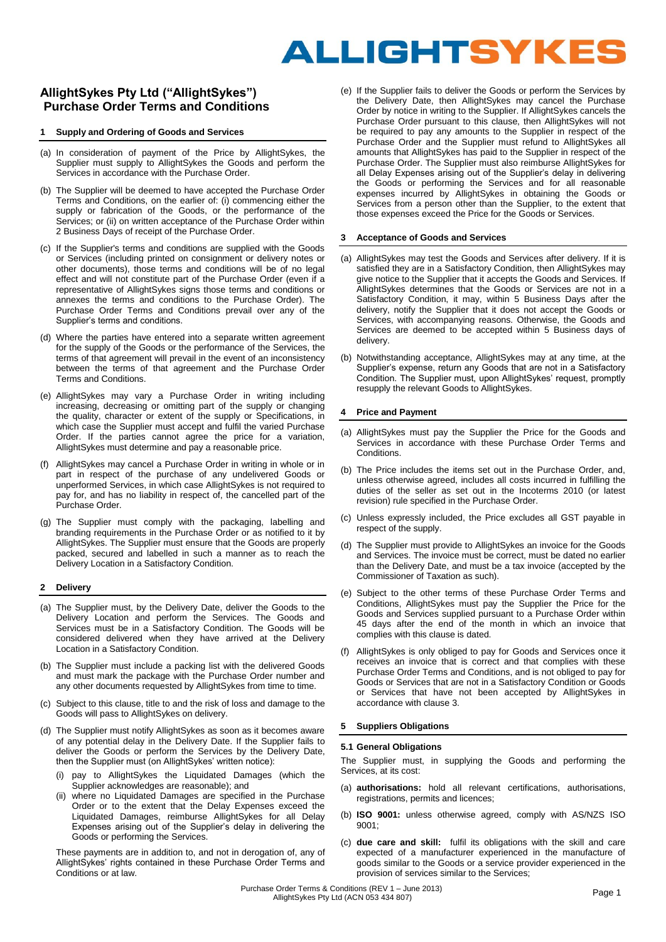# ALLIGHTSYKES

# **AllightSykes Pty Ltd ("AllightSykes") Purchase Order Terms and Conditions**

#### **1 Supply and Ordering of Goods and Services**

- (a) In consideration of payment of the Price by AllightSykes, the Supplier must supply to AllightSykes the Goods and perform the Services in accordance with the Purchase Order.
- (b) The Supplier will be deemed to have accepted the Purchase Order Terms and Conditions, on the earlier of: (i) commencing either the supply or fabrication of the Goods, or the performance of the Services: or (ii) on written acceptance of the Purchase Order within 2 Business Days of receipt of the Purchase Order.
- (c) If the Supplier's terms and conditions are supplied with the Goods or Services (including printed on consignment or delivery notes or other documents), those terms and conditions will be of no legal effect and will not constitute part of the Purchase Order (even if a representative of AllightSykes signs those terms and conditions or annexes the terms and conditions to the Purchase Order). The Purchase Order Terms and Conditions prevail over any of the Supplier's terms and conditions.
- (d) Where the parties have entered into a separate written agreement for the supply of the Goods or the performance of the Services, the terms of that agreement will prevail in the event of an inconsistency between the terms of that agreement and the Purchase Order Terms and Conditions.
- (e) AllightSykes may vary a Purchase Order in writing including increasing, decreasing or omitting part of the supply or changing the quality, character or extent of the supply or Specifications, in which case the Supplier must accept and fulfil the varied Purchase Order. If the parties cannot agree the price for a variation, AllightSykes must determine and pay a reasonable price.
- (f) AllightSykes may cancel a Purchase Order in writing in whole or in part in respect of the purchase of any undelivered Goods or unperformed Services, in which case AllightSykes is not required to pay for, and has no liability in respect of, the cancelled part of the Purchase Order.
- (g) The Supplier must comply with the packaging, labelling and branding requirements in the Purchase Order or as notified to it by AllightSykes. The Supplier must ensure that the Goods are properly packed, secured and labelled in such a manner as to reach the Delivery Location in a Satisfactory Condition.

#### **2 Delivery**

- (a) The Supplier must, by the Delivery Date, deliver the Goods to the Delivery Location and perform the Services. The Goods and Services must be in a Satisfactory Condition. The Goods will be considered delivered when they have arrived at the Delivery Location in a Satisfactory Condition.
- (b) The Supplier must include a packing list with the delivered Goods and must mark the package with the Purchase Order number and any other documents requested by AllightSykes from time to time.
- (c) Subject to this clause, title to and the risk of loss and damage to the Goods will pass to AllightSykes on delivery.
- (d) The Supplier must notify AllightSykes as soon as it becomes aware of any potential delay in the Delivery Date. If the Supplier fails to deliver the Goods or perform the Services by the Delivery Date, then the Supplier must (on AllightSykes' written notice):
	- pay to AllightSykes the Liquidated Damages (which the Supplier acknowledges are reasonable); and
	- where no Liquidated Damages are specified in the Purchase Order or to the extent that the Delay Expenses exceed the Liquidated Damages, reimburse AllightSykes for all Delay Expenses arising out of the Supplier's delay in delivering the Goods or performing the Services.

These payments are in addition to, and not in derogation of, any of AllightSykes' rights contained in these Purchase Order Terms and Conditions or at law.

(e) If the Supplier fails to deliver the Goods or perform the Services by the Delivery Date, then AllightSykes may cancel the Purchase Order by notice in writing to the Supplier. If AllightSykes cancels the Purchase Order pursuant to this clause, then AllightSykes will not be required to pay any amounts to the Supplier in respect of the Purchase Order and the Supplier must refund to AllightSykes all amounts that AllightSykes has paid to the Supplier in respect of the Purchase Order. The Supplier must also reimburse AllightSykes for all Delay Expenses arising out of the Supplier's delay in delivering the Goods or performing the Services and for all reasonable expenses incurred by AllightSykes in obtaining the Goods or Services from a person other than the Supplier, to the extent that those expenses exceed the Price for the Goods or Services.

#### **3 Acceptance of Goods and Services**

- (a) AllightSykes may test the Goods and Services after delivery. If it is satisfied they are in a Satisfactory Condition, then AllightSykes may give notice to the Supplier that it accepts the Goods and Services. If AllightSykes determines that the Goods or Services are not in a Satisfactory Condition, it may, within 5 Business Days after the delivery, notify the Supplier that it does not accept the Goods or Services, with accompanying reasons. Otherwise, the Goods and Services are deemed to be accepted within 5 Business days of delivery.
- (b) Notwithstanding acceptance, AllightSykes may at any time, at the Supplier's expense, return any Goods that are not in a Satisfactory Condition. The Supplier must, upon AllightSykes' request, promptly resupply the relevant Goods to AllightSykes.

# **4 Price and Payment**

- (a) AllightSykes must pay the Supplier the Price for the Goods and Services in accordance with these Purchase Order Terms and Conditions.
- (b) The Price includes the items set out in the Purchase Order, and, unless otherwise agreed, includes all costs incurred in fulfilling the duties of the seller as set out in the Incoterms 2010 (or latest revision) rule specified in the Purchase Order.
- (c) Unless expressly included, the Price excludes all GST payable in respect of the supply.
- (d) The Supplier must provide to AllightSykes an invoice for the Goods and Services. The invoice must be correct, must be dated no earlier than the Delivery Date, and must be a tax invoice (accepted by the Commissioner of Taxation as such).
- (e) Subject to the other terms of these Purchase Order Terms and Conditions, AllightSykes must pay the Supplier the Price for the Goods and Services supplied pursuant to a Purchase Order within 45 days after the end of the month in which an invoice that complies with this clause is dated.
- (f) AllightSykes is only obliged to pay for Goods and Services once it receives an invoice that is correct and that complies with these Purchase Order Terms and Conditions, and is not obliged to pay for Goods or Services that are not in a Satisfactory Condition or Goods or Services that have not been accepted by AllightSykes in accordance with clause 3.

#### **5 Suppliers Obligations**

#### **5.1 General Obligations**

The Supplier must, in supplying the Goods and performing the Services, at its cost:

- (a) **authorisations:** hold all relevant certifications, authorisations, registrations, permits and licences;
- (b) **ISO 9001:** unless otherwise agreed, comply with AS/NZS ISO 9001;
- (c) **due care and skill:** fulfil its obligations with the skill and care expected of a manufacturer experienced in the manufacture of goods similar to the Goods or a service provider experienced in the provision of services similar to the Services;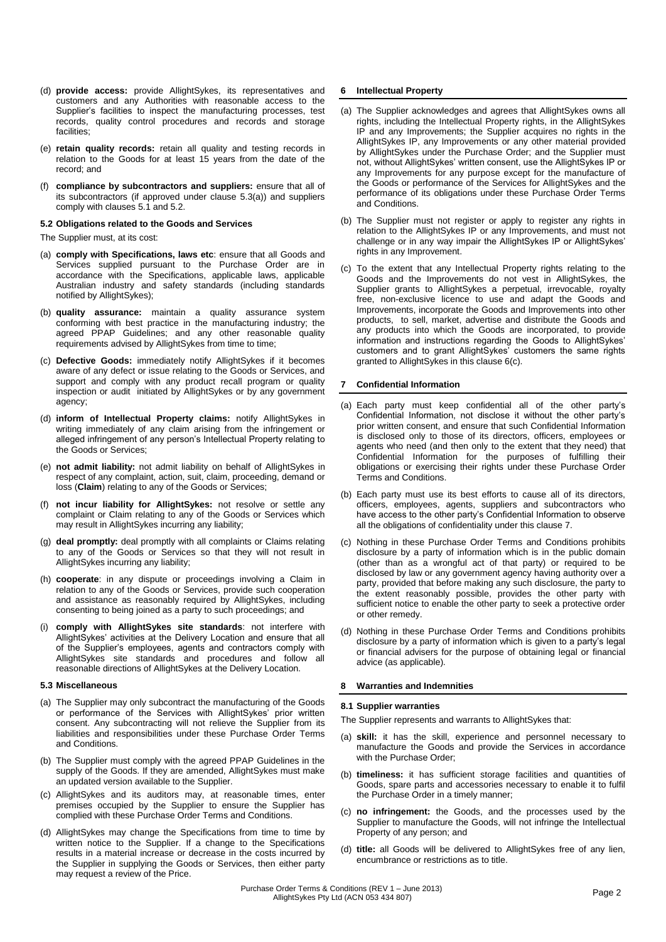- (d) **provide access:** provide AllightSykes, its representatives and customers and any Authorities with reasonable access to the Supplier's facilities to inspect the manufacturing processes, test records, quality control procedures and records and storage facilities;
- (e) **retain quality records:** retain all quality and testing records in relation to the Goods for at least 15 years from the date of the record; and
- (f) **compliance by subcontractors and suppliers:** ensure that all of its subcontractors (if approved under clause 5.3(a)) and suppliers comply with clauses 5.1 and 5.2.

# **5.2 Obligations related to the Goods and Services**

The Supplier must, at its cost:

- (a) **comply with Specifications, laws etc**: ensure that all Goods and Services supplied pursuant to the Purchase Order are in accordance with the Specifications, applicable laws, applicable Australian industry and safety standards (including standards notified by AllightSykes);
- (b) **quality assurance:** maintain a quality assurance system conforming with best practice in the manufacturing industry; the agreed PPAP Guidelines; and any other reasonable quality requirements advised by AllightSykes from time to time;
- (c) **Defective Goods:** immediately notify AllightSykes if it becomes aware of any defect or issue relating to the Goods or Services, and support and comply with any product recall program or quality inspection or audit initiated by AllightSykes or by any government agency;
- (d) **inform of Intellectual Property claims:** notify AllightSykes in writing immediately of any claim arising from the infringement or alleged infringement of any person's Intellectual Property relating to the Goods or Services;
- (e) **not admit liability:** not admit liability on behalf of AllightSykes in respect of any complaint, action, suit, claim, proceeding, demand or loss (**Claim**) relating to any of the Goods or Services;
- (f) **not incur liability for AllightSykes:** not resolve or settle any complaint or Claim relating to any of the Goods or Services which may result in AllightSykes incurring any liability;
- (g) **deal promptly:** deal promptly with all complaints or Claims relating to any of the Goods or Services so that they will not result in AllightSykes incurring any liability;
- (h) **cooperate**: in any dispute or proceedings involving a Claim in relation to any of the Goods or Services, provide such cooperation and assistance as reasonably required by AllightSykes, including consenting to being joined as a party to such proceedings; and
- (i) **comply with AllightSykes site standards**: not interfere with AllightSykes' activities at the Delivery Location and ensure that all of the Supplier's employees, agents and contractors comply with AllightSykes site standards and procedures and follow all reasonable directions of AllightSykes at the Delivery Location.

#### **5.3 Miscellaneous**

- (a) The Supplier may only subcontract the manufacturing of the Goods or performance of the Services with AllightSykes' prior written consent. Any subcontracting will not relieve the Supplier from its liabilities and responsibilities under these Purchase Order Terms and Conditions.
- (b) The Supplier must comply with the agreed PPAP Guidelines in the supply of the Goods. If they are amended, AllightSykes must make an updated version available to the Supplier.
- (c) AllightSykes and its auditors may, at reasonable times, enter premises occupied by the Supplier to ensure the Supplier has complied with these Purchase Order Terms and Conditions.
- (d) AllightSykes may change the Specifications from time to time by written notice to the Supplier. If a change to the Specifications results in a material increase or decrease in the costs incurred by the Supplier in supplying the Goods or Services, then either party may request a review of the Price.

# **6 Intellectual Property**

- (a) The Supplier acknowledges and agrees that AllightSykes owns all rights, including the Intellectual Property rights, in the AllightSykes IP and any Improvements; the Supplier acquires no rights in the AllightSykes IP, any Improvements or any other material provided by AllightSykes under the Purchase Order; and the Supplier must not, without AllightSykes' written consent, use the AllightSykes IP or any Improvements for any purpose except for the manufacture of the Goods or performance of the Services for AllightSykes and the performance of its obligations under these Purchase Order Terms and Conditions.
- (b) The Supplier must not register or apply to register any rights in relation to the AllightSykes IP or any Improvements, and must not challenge or in any way impair the AllightSykes IP or AllightSykes' rights in any Improvement.
- (c) To the extent that any Intellectual Property rights relating to the Goods and the Improvements do not vest in AllightSykes, the Supplier grants to AllightSykes a perpetual, irrevocable, royalty free, non-exclusive licence to use and adapt the Goods and Improvements, incorporate the Goods and Improvements into other products, to sell, market, advertise and distribute the Goods and any products into which the Goods are incorporated, to provide information and instructions regarding the Goods to AllightSykes' customers and to grant AllightSykes' customers the same rights granted to AllightSykes in this clause 6(c).

#### **7 Confidential Information**

- (a) Each party must keep confidential all of the other party's Confidential Information, not disclose it without the other party's prior written consent, and ensure that such Confidential Information is disclosed only to those of its directors, officers, employees or agents who need (and then only to the extent that they need) that Confidential Information for the purposes of fulfilling their obligations or exercising their rights under these Purchase Order Terms and Conditions.
- (b) Each party must use its best efforts to cause all of its directors, officers, employees, agents, suppliers and subcontractors who have access to the other party's Confidential Information to observe all the obligations of confidentiality under this clause 7.
- (c) Nothing in these Purchase Order Terms and Conditions prohibits disclosure by a party of information which is in the public domain (other than as a wrongful act of that party) or required to be disclosed by law or any government agency having authority over a party, provided that before making any such disclosure, the party to the extent reasonably possible, provides the other party with sufficient notice to enable the other party to seek a protective order or other remedy.
- (d) Nothing in these Purchase Order Terms and Conditions prohibits disclosure by a party of information which is given to a party's legal or financial advisers for the purpose of obtaining legal or financial advice (as applicable).

#### **8 Warranties and Indemnities**

#### **8.1 Supplier warranties**

- The Supplier represents and warrants to AllightSykes that:
- (a) **skill:** it has the skill, experience and personnel necessary to manufacture the Goods and provide the Services in accordance with the Purchase Order;
- (b) **timeliness:** it has sufficient storage facilities and quantities of Goods, spare parts and accessories necessary to enable it to fulfil the Purchase Order in a timely manner;
- (c) **no infringement:** the Goods, and the processes used by the Supplier to manufacture the Goods, will not infringe the Intellectual Property of any person; and
- (d) **title:** all Goods will be delivered to AllightSykes free of any lien, encumbrance or restrictions as to title.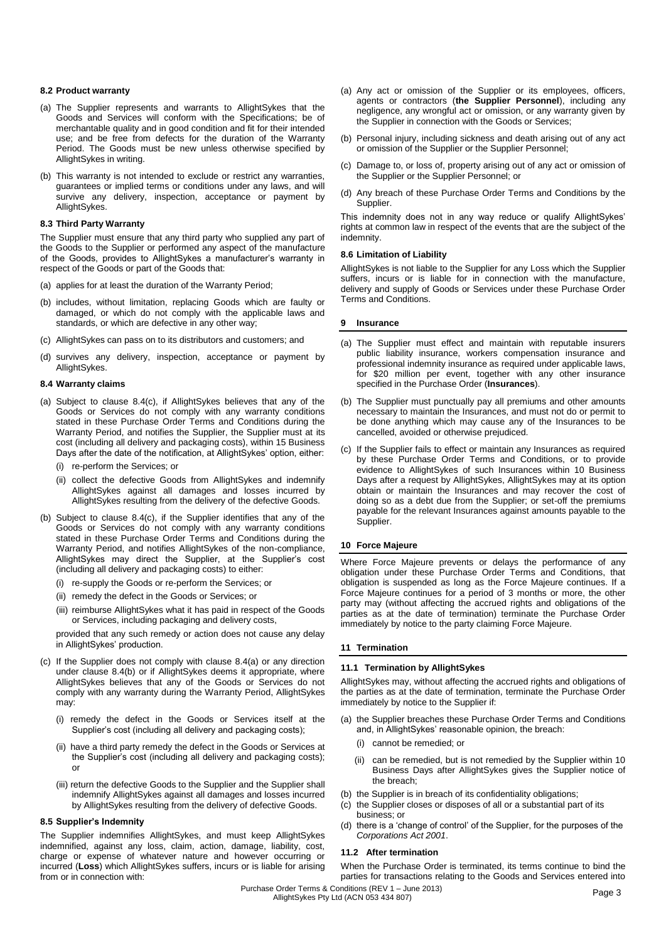## **8.2 Product warranty**

- (a) The Supplier represents and warrants to AllightSykes that the Goods and Services will conform with the Specifications; be of merchantable quality and in good condition and fit for their intended use; and be free from defects for the duration of the Warranty Period. The Goods must be new unless otherwise specified by AllightSykes in writing.
- (b) This warranty is not intended to exclude or restrict any warranties, guarantees or implied terms or conditions under any laws, and will survive any delivery, inspection, acceptance or payment by AllightSykes.

# **8.3 Third Party Warranty**

The Supplier must ensure that any third party who supplied any part of the Goods to the Supplier or performed any aspect of the manufacture of the Goods, provides to AllightSykes a manufacturer's warranty in respect of the Goods or part of the Goods that:

- (a) applies for at least the duration of the Warranty Period;
- (b) includes, without limitation, replacing Goods which are faulty or damaged, or which do not comply with the applicable laws and standards, or which are defective in any other way;
- (c) AllightSykes can pass on to its distributors and customers; and
- (d) survives any delivery, inspection, acceptance or payment by AllightSykes.

# **8.4 Warranty claims**

- (a) Subject to clause 8.4(c), if AllightSykes believes that any of the Goods or Services do not comply with any warranty conditions stated in these Purchase Order Terms and Conditions during the Warranty Period, and notifies the Supplier, the Supplier must at its cost (including all delivery and packaging costs), within 15 Business Days after the date of the notification, at AllightSykes' option, either:
	- (i) re-perform the Services; or
	- (ii) collect the defective Goods from AllightSykes and indemnify AllightSykes against all damages and losses incurred by AllightSykes resulting from the delivery of the defective Goods.
- (b) Subject to clause 8.4(c), if the Supplier identifies that any of the Goods or Services do not comply with any warranty conditions stated in these Purchase Order Terms and Conditions during the Warranty Period, and notifies AllightSykes of the non-compliance, AllightSykes may direct the Supplier, at the Supplier's cost (including all delivery and packaging costs) to either:
	- (i) re-supply the Goods or re-perform the Services; or
	- (ii) remedy the defect in the Goods or Services; or
	- (iii) reimburse AllightSykes what it has paid in respect of the Goods or Services, including packaging and delivery costs,

provided that any such remedy or action does not cause any delay in AllightSykes' production.

- (c) If the Supplier does not comply with clause 8.4(a) or any direction under clause 8.4(b) or if AllightSykes deems it appropriate, where AllightSykes believes that any of the Goods or Services do not comply with any warranty during the Warranty Period, AllightSykes may:
	- (i) remedy the defect in the Goods or Services itself at the Supplier's cost (including all delivery and packaging costs);
	- (ii) have a third party remedy the defect in the Goods or Services at the Supplier's cost (including all delivery and packaging costs); or
	- (iii) return the defective Goods to the Supplier and the Supplier shall indemnify AllightSykes against all damages and losses incurred by AllightSykes resulting from the delivery of defective Goods.

#### **8.5 Supplier's Indemnity**

The Supplier indemnifies AllightSykes, and must keep AllightSykes indemnified, against any loss, claim, action, damage, liability, cost, charge or expense of whatever nature and however occurring or incurred (**Loss**) which AllightSykes suffers, incurs or is liable for arising from or in connection with:

- (a) Any act or omission of the Supplier or its employees, officers, agents or contractors (**the Supplier Personnel**), including any negligence, any wrongful act or omission, or any warranty given by the Supplier in connection with the Goods or Services;
- (b) Personal injury, including sickness and death arising out of any act or omission of the Supplier or the Supplier Personnel;
- (c) Damage to, or loss of, property arising out of any act or omission of the Supplier or the Supplier Personnel; or
- (d) Any breach of these Purchase Order Terms and Conditions by the Supplier.

This indemnity does not in any way reduce or qualify AllightSykes' rights at common law in respect of the events that are the subject of the indemnity.

#### **8.6 Limitation of Liability**

AllightSykes is not liable to the Supplier for any Loss which the Supplier suffers, incurs or is liable for in connection with the manufacture, delivery and supply of Goods or Services under these Purchase Order Terms and Conditions.

#### **9 Insurance**

- (a) The Supplier must effect and maintain with reputable insurers public liability insurance, workers compensation insurance and professional indemnity insurance as required under applicable laws, for \$20 million per event, together with any other insurance specified in the Purchase Order (**Insurances**).
- (b) The Supplier must punctually pay all premiums and other amounts necessary to maintain the Insurances, and must not do or permit to be done anything which may cause any of the Insurances to be cancelled, avoided or otherwise prejudiced.
- (c) If the Supplier fails to effect or maintain any Insurances as required by these Purchase Order Terms and Conditions, or to provide evidence to AllightSykes of such Insurances within 10 Business Days after a request by AllightSykes, AllightSykes may at its option obtain or maintain the Insurances and may recover the cost of doing so as a debt due from the Supplier; or set-off the premiums payable for the relevant Insurances against amounts payable to the Supplier.

#### **10 Force Majeure**

Where Force Majeure prevents or delays the performance of any obligation under these Purchase Order Terms and Conditions, that obligation is suspended as long as the Force Majeure continues. If a Force Majeure continues for a period of 3 months or more, the other party may (without affecting the accrued rights and obligations of the parties as at the date of termination) terminate the Purchase Order immediately by notice to the party claiming Force Majeure.

#### **11 Termination**

#### **11.1 Termination by AllightSykes**

AllightSykes may, without affecting the accrued rights and obligations of the parties as at the date of termination, terminate the Purchase Order immediately by notice to the Supplier if:

- (a) the Supplier breaches these Purchase Order Terms and Conditions and, in AllightSykes' reasonable opinion, the breach:
	- (i) cannot be remedied; or
	- (ii) can be remedied, but is not remedied by the Supplier within 10 Business Days after AllightSykes gives the Supplier notice of the breach;
- (b) the Supplier is in breach of its confidentiality obligations;
- (c) the Supplier closes or disposes of all or a substantial part of its business; or
- (d) there is a 'change of control' of the Supplier, for the purposes of the *Corporations Act 2001*.

#### **11.2 After termination**

When the Purchase Order is terminated, its terms continue to bind the parties for transactions relating to the Goods and Services entered into

Purchase Order Terms & Conditions (REV 1 – June 2013) Page 3 AllightSykes Pty Ltd (ACN 053 434 807)<br>AllightSykes Pty Ltd (ACN 053 434 807)